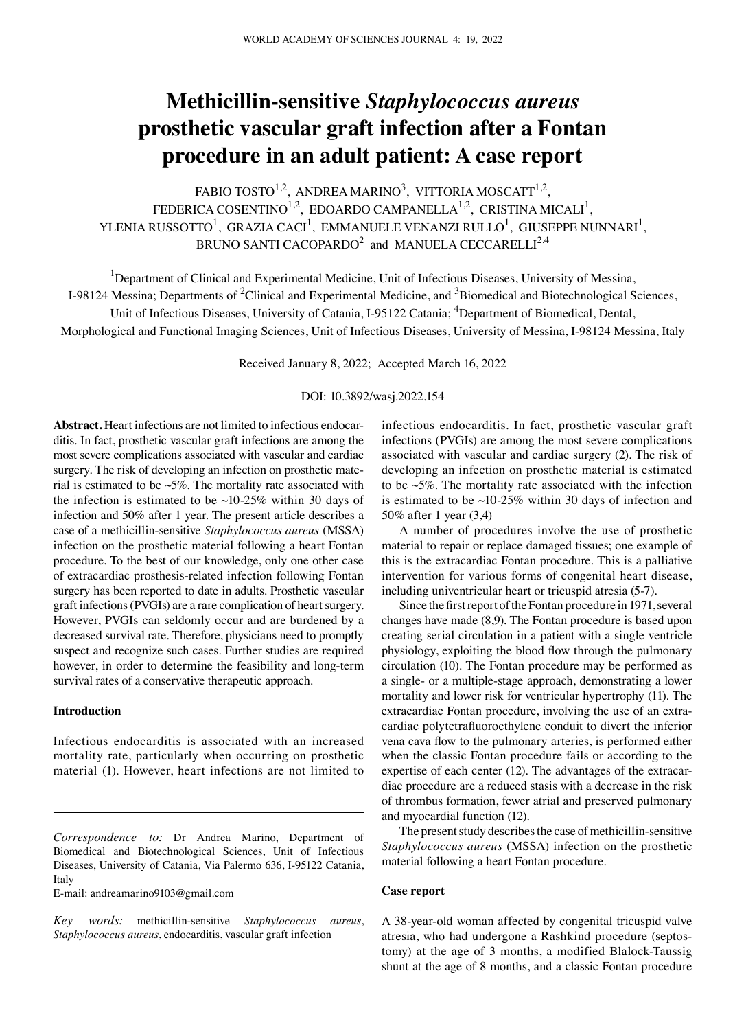# **Methicillin‑sensitive** *Staphylococcus aureus* **prosthetic vascular graft infection after a Fontan procedure in an adult patient: A case report**

FABIO TOSTO<sup>1,2</sup>, ANDREA MARINO<sup>3</sup>, VITTORIA MOSCATT<sup>1,2</sup>, FEDERICA COSENTINO<sup>1,2</sup>, EDOARDO CAMPANELLA<sup>1,2</sup>, CRISTINA MICALI<sup>1</sup>, YLENIA RUSSOTTO $^1$ , GRAZIA CACI $^1$ , EMMANUELE VENANZI RULLO $^1$ , GIUSEPPE NUNNARI $^1$ , BRUNO SANTI CACOPARDO $^2$  and MANUELA CECCARELLI $^{2,4}$ 

<sup>1</sup>Department of Clinical and Experimental Medicine, Unit of Infectious Diseases, University of Messina,

I-98124 Messina; Departments of <sup>2</sup>Clinical and Experimental Medicine, and <sup>3</sup>Biomedical and Biotechnological Sciences,

Unit of Infectious Diseases, University of Catania, I-95122 Catania; <sup>4</sup>Department of Biomedical, Dental,

Morphological and Functional Imaging Sciences, Unit of Infectious Diseases, University of Messina, I-98124 Messina, Italy

Received January 8, 2022; Accepted March 16, 2022

## DOI: 10.3892/wasj.2022.154

Abstract. Heart infections are not limited to infectious endocarditis. In fact, prosthetic vascular graft infections are among the most severe complications associated with vascular and cardiac surgery. The risk of developing an infection on prosthetic material is estimated to be  $\sim$  5%. The mortality rate associated with the infection is estimated to be  $\sim$ 10-25% within 30 days of infection and 50% after 1 year. The present article describes a case of a methicillin‑sensitive *Staphylococcus aureus* (MSSA) infection on the prosthetic material following a heart Fontan procedure. To the best of our knowledge, only one other case of extracardiac prosthesis‑related infection following Fontan surgery has been reported to date in adults. Prosthetic vascular graft infections (PVGIs) are a rare complication of heart surgery. However, PVGIs can seldomly occur and are burdened by a decreased survival rate. Therefore, physicians need to promptly suspect and recognize such cases. Further studies are required however, in order to determine the feasibility and long-term survival rates of a conservative therapeutic approach.

# **Introduction**

Infectious endocarditis is associated with an increased mortality rate, particularly when occurring on prosthetic material (1). However, heart infections are not limited to

E‑mail: andreamarino9103@gmail.com

infectious endocarditis. In fact, prosthetic vascular graft infections (PVGIs) are among the most severe complications associated with vascular and cardiac surgery (2). The risk of developing an infection on prosthetic material is estimated to be ~5%. The mortality rate associated with the infection is estimated to be  $\sim$ 10-25% within 30 days of infection and 50% after 1 year (3,4)

A number of procedures involve the use of prosthetic material to repair or replace damaged tissues; one example of this is the extracardiac Fontan procedure. This is a palliative intervention for various forms of congenital heart disease, including univentricular heart or tricuspid atresia (5‑7).

Since the first report of the Fontan procedure in 1971, several changes have made (8,9). The Fontan procedure is based upon creating serial circulation in a patient with a single ventricle physiology, exploiting the blood flow through the pulmonary circulation (10). The Fontan procedure may be performed as a single‑ or a multiple‑stage approach, demonstrating a lower mortality and lower risk for ventricular hypertrophy (11). The extracardiac Fontan procedure, involving the use of an extracardiac polytetrafluoroethylene conduit to divert the inferior vena cava flow to the pulmonary arteries, is performed either when the classic Fontan procedure fails or according to the expertise of each center (12). The advantages of the extracardiac procedure are a reduced stasis with a decrease in the risk of thrombus formation, fewer atrial and preserved pulmonary and myocardial function (12).

The present study describes the case of methicillin-sensitive *Staphylococcus aureus* (MSSA) infection on the prosthetic material following a heart Fontan procedure.

## **Case report**

A 38‑year‑old woman affected by congenital tricuspid valve atresia, who had undergone a Rashkind procedure (septostomy) at the age of 3 months, a modified Blalock-Taussig shunt at the age of 8 months, and a classic Fontan procedure

*Correspondence to:* Dr Andrea Marino, Department of Biomedical and Biotechnological Sciences, Unit of Infectious Diseases, University of Catania, Via Palermo 636, I-95122 Catania, Italy

*Key words:* methicillin‑sensitive *Staphylococcus aureus*, *Staphylococcus aureus*, endocarditis, vascular graft infection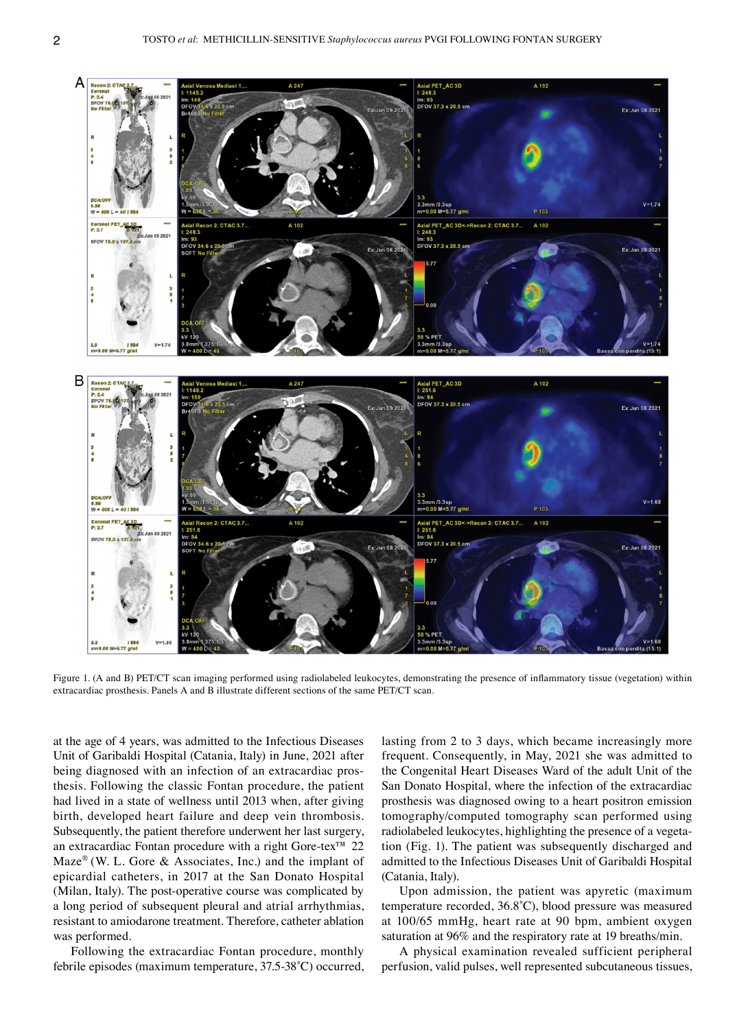

Figure 1. (A and B) PET/CT scan imaging performed using radiolabeled leukocytes, demonstrating the presence of inflammatory tissue (vegetation) within extracardiac prosthesis. Panels A and B illustrate different sections of the same PET/CT scan.

at the age of 4 years, was admitted to the Infectious Diseases Unit of Garibaldi Hospital (Catania, Italy) in June, 2021 after being diagnosed with an infection of an extracardiac prosthesis. Following the classic Fontan procedure, the patient had lived in a state of wellness until 2013 when, after giving birth, developed heart failure and deep vein thrombosis. Subsequently, the patient therefore underwent her last surgery, an extracardiac Fontan procedure with a right Gore-tex™ 22  $Maze^{\circledast}$  (W. L. Gore & Associates, Inc.) and the implant of epicardial catheters, in 2017 at the San Donato Hospital (Milan, Italy). The post‑operative course was complicated by a long period of subsequent pleural and atrial arrhythmias, resistant to amiodarone treatment. Therefore, catheter ablation was performed.

Following the extracardiac Fontan procedure, monthly febrile episodes (maximum temperature, 37.5‑38˚C) occurred, lasting from 2 to 3 days, which became increasingly more frequent. Consequently, in May, 2021 she was admitted to the Congenital Heart Diseases Ward of the adult Unit of the San Donato Hospital, where the infection of the extracardiac prosthesis was diagnosed owing to a heart positron emission tomography/computed tomography scan performed using radiolabeled leukocytes, highlighting the presence of a vegetation (Fig. 1). The patient was subsequently discharged and admitted to the Infectious Diseases Unit of Garibaldi Hospital (Catania, Italy).

Upon admission, the patient was apyretic (maximum temperature recorded, 36.8˚C), blood pressure was measured at 100/65 mmHg, heart rate at 90 bpm, ambient oxygen saturation at 96% and the respiratory rate at 19 breaths/min.

A physical examination revealed sufficient peripheral perfusion, valid pulses, well represented subcutaneous tissues,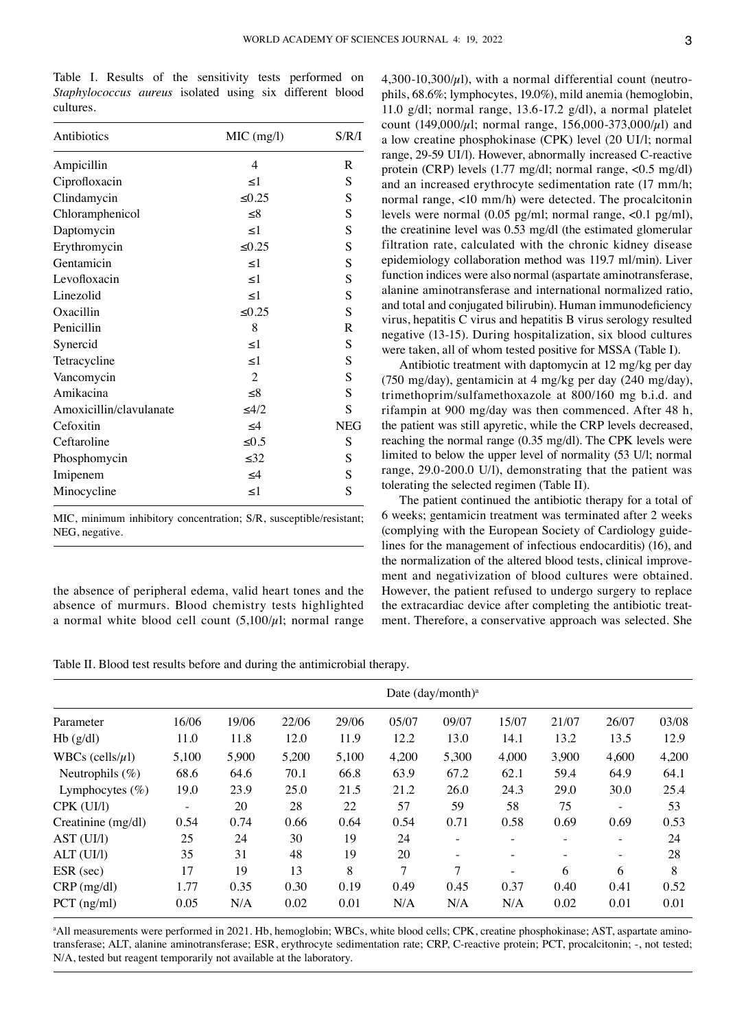Table I. Results of the sensitivity tests performed on *Staphylococcus aureus* isolated using six different blood cultures.

| Ampicillin<br>Ciprofloxacin<br>Clindamycin | 4<br>$\leq$ 1<br>$\leq 0.25$<br>$\leq 8$<br>$\leq$ 1 | R<br>S<br>S<br>S<br>S |
|--------------------------------------------|------------------------------------------------------|-----------------------|
|                                            |                                                      |                       |
|                                            |                                                      |                       |
|                                            |                                                      |                       |
| Chloramphenicol                            |                                                      |                       |
| Daptomycin                                 |                                                      |                       |
| Erythromycin                               | ≤ $0.25$                                             | S                     |
| Gentamicin                                 | <1                                                   | S                     |
| Levofloxacin                               | $\leq$ 1                                             | S                     |
| Linezolid                                  | $\leq$ 1                                             | S                     |
| Oxacillin                                  | ≤ $0.25$                                             | S                     |
| Penicillin                                 | 8                                                    | R                     |
| Synercid                                   | $\leq$ 1                                             | S                     |
| Tetracycline                               | <1                                                   | S                     |
| Vancomycin                                 | $\overline{2}$                                       | S                     |
| Amikacina                                  | $\leq 8$                                             | S                     |
| Amoxicillin/clavulanate                    | <4/2                                                 | S                     |
| Cefoxitin                                  | $\leq 4$                                             | <b>NEG</b>            |
| Ceftaroline                                | $\leq 0.5$                                           | S                     |
| Phosphomycin                               | $\leq 32$                                            | S                     |
| Imipenem                                   | $\leq 4$                                             | S                     |
| Minocycline                                | $\leq$ 1                                             | S                     |

MIC, minimum inhibitory concentration; S/R, susceptible/resistant; NEG, negative.

the absence of peripheral edema, valid heart tones and the absence of murmurs. Blood chemistry tests highlighted a normal white blood cell count  $(5,100/\mu)$ ; normal range 4,300-10,300/ $\mu$ l), with a normal differential count (neutrophils, 68.6%; lymphocytes, 19.0%), mild anemia (hemoglobin, 11.0 g/dl; normal range,  $13.6 - 17.2$  g/dl), a normal platelet count (149,000/ $\mu$ l; normal range, 156,000-373,000/ $\mu$ l) and a low creatine phosphokinase (CPK) level (20 UI/l; normal range, 29‑59 UI/l). However, abnormally increased C‑reactive protein (CRP) levels (1.77 mg/dl; normal range, <0.5 mg/dl) and an increased erythrocyte sedimentation rate (17 mm/h; normal range, <10 mm/h) were detected. The procalcitonin levels were normal (0.05 pg/ml; normal range, <0.1 pg/ml), the creatinine level was 0.53 mg/dl (the estimated glomerular filtration rate, calculated with the chronic kidney disease epidemiology collaboration method was 119.7 ml/min). Liver function indices were also normal (aspartate aminotransferase, alanine aminotransferase and international normalized ratio, and total and conjugated bilirubin). Human immunodeficiency virus, hepatitis C virus and hepatitis B virus serology resulted negative (13‑15). During hospitalization, six blood cultures were taken, all of whom tested positive for MSSA (Table I).

Antibiotic treatment with daptomycin at 12 mg/kg per day (750 mg/day), gentamicin at 4 mg/kg per day (240 mg/day), trimethoprim/sulfamethoxazole at 800/160 mg b.i.d. and rifampin at 900 mg/day was then commenced. After 48 h, the patient was still apyretic, while the CRP levels decreased, reaching the normal range (0.35 mg/dl). The CPK levels were limited to below the upper level of normality (53 U/l; normal range, 29.0‑200.0 U/l), demonstrating that the patient was tolerating the selected regimen (Table II).

The patient continued the antibiotic therapy for a total of 6 weeks; gentamicin treatment was terminated after 2 weeks (complying with the European Society of Cardiology guide‑ lines for the management of infectious endocarditis) (16), and the normalization of the altered blood tests, clinical improvement and negativization of blood cultures were obtained. However, the patient refused to undergo surgery to replace the extracardiac device after completing the antibiotic treatment. Therefore, a conservative approach was selected. She

Table II. Blood test results before and during the antimicrobial therapy.

| Parameter             | Date (day/month) <sup>a</sup> |       |       |       |       |       |       |          |                          |       |
|-----------------------|-------------------------------|-------|-------|-------|-------|-------|-------|----------|--------------------------|-------|
|                       | 16/06                         | 19/06 | 22/06 | 29/06 | 05/07 | 09/07 | 15/07 | 21/07    | 26/07                    | 03/08 |
| Hb(g/dl)              | 11.0                          | 11.8  | 12.0  | 11.9  | 12.2  | 13.0  | 14.1  | 13.2     | 13.5                     | 12.9  |
| WBCs (cells/ $\mu$ l) | 5,100                         | 5,900 | 5,200 | 5,100 | 4,200 | 5,300 | 4,000 | 3,900    | 4,600                    | 4,200 |
| Neutrophils $(\%)$    | 68.6                          | 64.6  | 70.1  | 66.8  | 63.9  | 67.2  | 62.1  | 59.4     | 64.9                     | 64.1  |
| Lymphocytes $(\%)$    | 19.0                          | 23.9  | 25.0  | 21.5  | 21.2  | 26.0  | 24.3  | 29.0     | 30.0                     | 25.4  |
| CPK (UI/l)            | Ξ.                            | 20    | 28    | 22    | 57    | 59    | 58    | 75       | $\overline{\phantom{a}}$ | 53    |
| Creatinine (mg/dl)    | 0.54                          | 0.74  | 0.66  | 0.64  | 0.54  | 0.71  | 0.58  | 0.69     | 0.69                     | 0.53  |
| AST (UI/l)            | 25                            | 24    | 30    | 19    | 24    |       |       | $\equiv$ | $\overline{\phantom{a}}$ | 24    |
| ALT (UI/I)            | 35                            | 31    | 48    | 19    | 20    |       |       | Ξ.       | $\overline{\phantom{a}}$ | 28    |
| ESR (sec)             | 17                            | 19    | 13    | 8     | 7     | 7     |       | 6        | 6                        | 8     |
| $CRP$ (mg/dl)         | 1.77                          | 0.35  | 0.30  | 0.19  | 0.49  | 0.45  | 0.37  | 0.40     | 0.41                     | 0.52  |
| $PCT$ (ng/ml)         | 0.05                          | N/A   | 0.02  | 0.01  | N/A   | N/A   | N/A   | 0.02     | 0.01                     | 0.01  |

<sup>a</sup>All measurements were performed in 2021. Hb, hemoglobin; WBCs, white blood cells; CPK, creatine phosphokinase; AST, aspartate aminotransferase; ALT, alanine aminotransferase; ESR, erythrocyte sedimentation rate; CRP, C-reactive protein; PCT, procalcitonin; -, not tested; N/A, tested but reagent temporarily not available at the laboratory.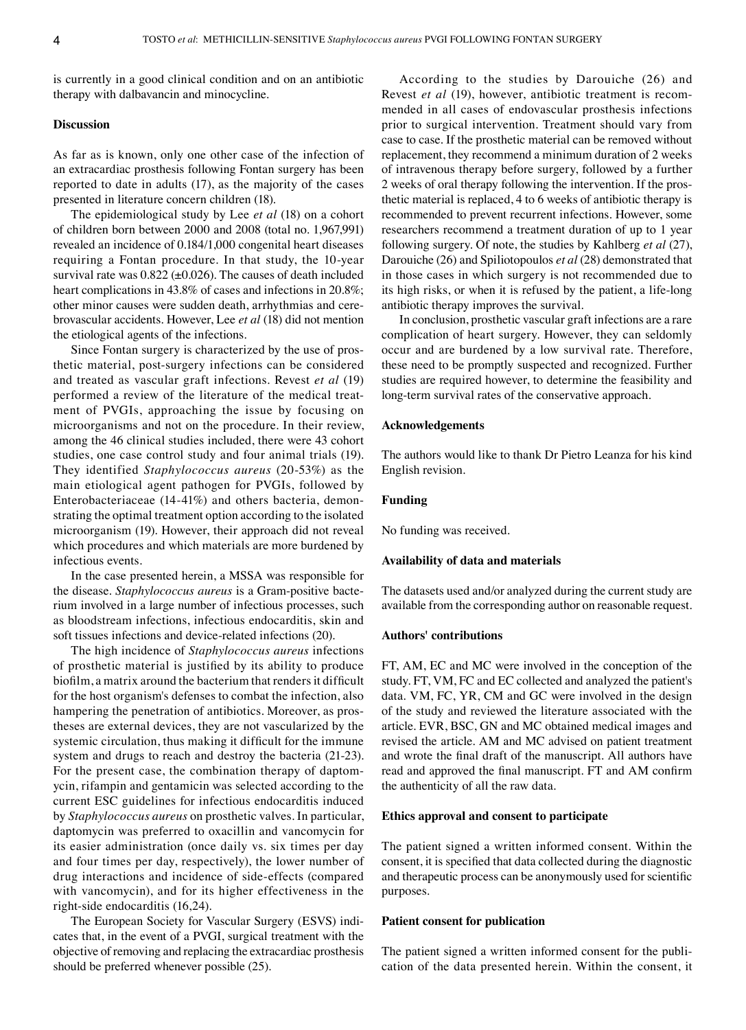is currently in a good clinical condition and on an antibiotic therapy with dalbavancin and minocycline.

# **Discussion**

As far as is known, only one other case of the infection of an extracardiac prosthesis following Fontan surgery has been reported to date in adults (17), as the majority of the cases presented in literature concern children (18).

The epidemiological study by Lee *et al* (18) on a cohort of children born between 2000 and 2008 (total no. 1,967,991) revealed an incidence of 0.184/1,000 congenital heart diseases requiring a Fontan procedure. In that study, the 10‑year survival rate was  $0.822$  ( $\pm 0.026$ ). The causes of death included heart complications in 43.8% of cases and infections in 20.8%; other minor causes were sudden death, arrhythmias and cerebrovascular accidents. However, Lee *et al* (18) did not mention the etiological agents of the infections.

Since Fontan surgery is characterized by the use of prosthetic material, post‑surgery infections can be considered and treated as vascular graft infections. Revest *et al* (19) performed a review of the literature of the medical treatment of PVGIs, approaching the issue by focusing on microorganisms and not on the procedure. In their review, among the 46 clinical studies included, there were 43 cohort studies, one case control study and four animal trials (19). They identified *Staphylococcus aureus* (20‑53%) as the main etiological agent pathogen for PVGIs, followed by Enterobacteriaceae (14-41%) and others bacteria, demonstrating the optimal treatment option according to the isolated microorganism (19). However, their approach did not reveal which procedures and which materials are more burdened by infectious events.

In the case presented herein, a MSSA was responsible for the disease. *Staphylococcus aureus* is a Gram-positive bacterium involved in a large number of infectious processes, such as bloodstream infections, infectious endocarditis, skin and soft tissues infections and device-related infections (20).

The high incidence of *Staphylococcus aureus* infections of prosthetic material is justified by its ability to produce biofilm, a matrix around the bacterium that renders it difficult for the host organism's defenses to combat the infection, also hampering the penetration of antibiotics. Moreover, as prostheses are external devices, they are not vascularized by the systemic circulation, thus making it difficult for the immune system and drugs to reach and destroy the bacteria (21‑23). For the present case, the combination therapy of daptomycin, rifampin and gentamicin was selected according to the current ESC guidelines for infectious endocarditis induced by *Staphylococcus aureus* on prosthetic valves. In particular, daptomycin was preferred to oxacillin and vancomycin for its easier administration (once daily vs. six times per day and four times per day, respectively), the lower number of drug interactions and incidence of side‑effects (compared with vancomycin), and for its higher effectiveness in the right‑side endocarditis (16,24).

The European Society for Vascular Surgery (ESVS) indicates that, in the event of a PVGI, surgical treatment with the objective of removing and replacing the extracardiac prosthesis should be preferred whenever possible (25).

According to the studies by Darouiche (26) and Revest *et al* (19), however, antibiotic treatment is recommended in all cases of endovascular prosthesis infections prior to surgical intervention. Treatment should vary from case to case. If the prosthetic material can be removed without replacement, they recommend a minimum duration of 2 weeks of intravenous therapy before surgery, followed by a further 2 weeks of oral therapy following the intervention. If the prosthetic material is replaced, 4 to 6 weeks of antibiotic therapy is recommended to prevent recurrent infections. However, some researchers recommend a treatment duration of up to 1 year following surgery. Of note, the studies by Kahlberg *et al* (27), Darouiche (26) and Spiliotopoulos *et al* (28) demonstrated that in those cases in which surgery is not recommended due to its high risks, or when it is refused by the patient, a life-long antibiotic therapy improves the survival.

In conclusion, prosthetic vascular graft infections are a rare complication of heart surgery. However, they can seldomly occur and are burdened by a low survival rate. Therefore, these need to be promptly suspected and recognized. Further studies are required however, to determine the feasibility and long-term survival rates of the conservative approach.

# **Acknowledgements**

The authors would like to thank Dr Pietro Leanza for his kind English revision.

## **Funding**

No funding was received.

# **Availability of data and materials**

The datasets used and/or analyzed during the current study are available from the corresponding author on reasonable request.

## **Authors' contributions**

FT, AM, EC and MC were involved in the conception of the study. FT, VM, FC and EC collected and analyzed the patient's data. VM, FC, YR, CM and GC were involved in the design of the study and reviewed the literature associated with the article. EVR, BSC, GN and MC obtained medical images and revised the article. AM and MC advised on patient treatment and wrote the final draft of the manuscript. All authors have read and approved the final manuscript. FT and AM confirm the authenticity of all the raw data.

# **Ethics approval and consent to participate**

The patient signed a written informed consent. Within the consent, it is specified that data collected during the diagnostic and therapeutic process can be anonymously used for scientific purposes.

#### **Patient consent for publication**

The patient signed a written informed consent for the publication of the data presented herein. Within the consent, it